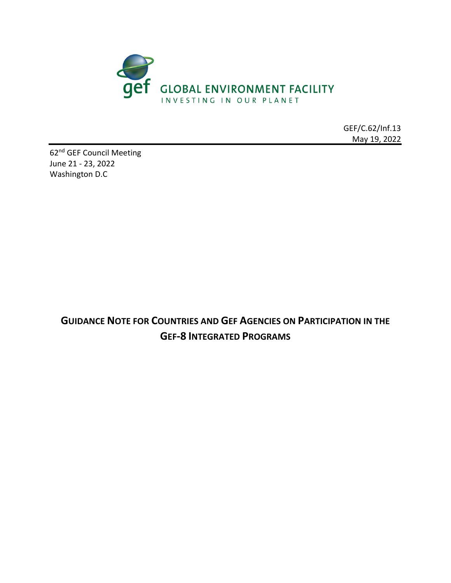

GEF/C.62/Inf.13 May 19, 2022

62nd GEF Council Meeting June 21 - 23, 2022 Washington D.C

> **GUIDANCE NOTE FOR COUNTRIES AND GEF AGENCIES ON PARTICIPATION IN THE GEF-8 INTEGRATED PROGRAMS**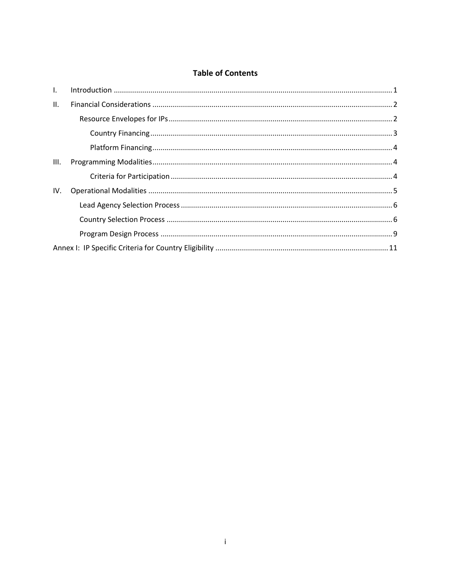## **Table of Contents**

| $\mathbf{L}$ |  |  |  |  |  |  |
|--------------|--|--|--|--|--|--|
| II.          |  |  |  |  |  |  |
|              |  |  |  |  |  |  |
|              |  |  |  |  |  |  |
|              |  |  |  |  |  |  |
| III.         |  |  |  |  |  |  |
|              |  |  |  |  |  |  |
| IV.          |  |  |  |  |  |  |
|              |  |  |  |  |  |  |
|              |  |  |  |  |  |  |
|              |  |  |  |  |  |  |
|              |  |  |  |  |  |  |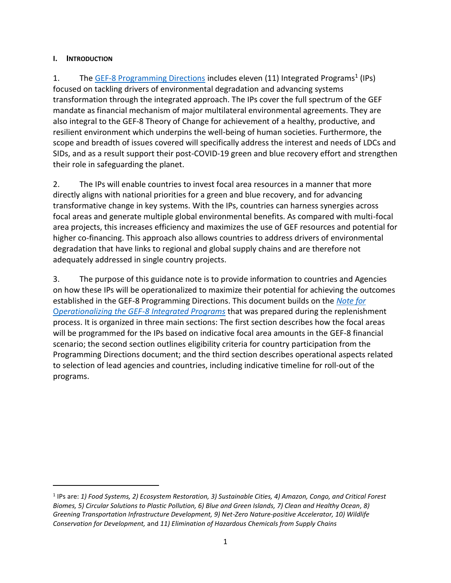### <span id="page-2-0"></span>**I. INTRODUCTION**

1. The [GEF-8 Programming Directions](https://www.thegef.org/council-meeting-documents/gef-r-08-29-rev-01) includes eleven (11) Integrated Programs<sup>1</sup> (IPs) focused on tackling drivers of environmental degradation and advancing systems transformation through the integrated approach. The IPs cover the full spectrum of the GEF mandate as financial mechanism of major multilateral environmental agreements. They are also integral to the GEF-8 Theory of Change for achievement of a healthy, productive, and resilient environment which underpins the well-being of human societies. Furthermore, the scope and breadth of issues covered will specifically address the interest and needs of LDCs and SIDs, and as a result support their post-COVID-19 green and blue recovery effort and strengthen their role in safeguarding the planet.

2. The IPs will enable countries to invest focal area resources in a manner that more directly aligns with national priorities for a green and blue recovery, and for advancing transformative change in key systems. With the IPs, countries can harness synergies across focal areas and generate multiple global environmental benefits. As compared with multi-focal area projects, this increases efficiency and maximizes the use of GEF resources and potential for higher co-financing. This approach also allows countries to address drivers of environmental degradation that have links to regional and global supply chains and are therefore not adequately addressed in single country projects.

3. The purpose of this guidance note is to provide information to countries and Agencies on how these IPs will be operationalized to maximize their potential for achieving the outcomes established in the GEF-8 Programming Directions. This document builds on the *[Note for](https://www.thegef.org/council-meeting-documents/updated-note-operationalizing-gef-8-integrated-programs)*  O*[perationalizing the GEF-8](https://www.thegef.org/council-meeting-documents/updated-note-operationalizing-gef-8-integrated-programs) Integrated Programs* that was prepared during the replenishment process. It is organized in three main sections: The first section describes how the focal areas will be programmed for the IPs based on indicative focal area amounts in the GEF-8 financial scenario; the second section outlines eligibility criteria for country participation from the Programming Directions document; and the third section describes operational aspects related to selection of lead agencies and countries, including indicative timeline for roll-out of the programs.

<sup>1</sup> IPs are: *1) Food Systems, 2) Ecosystem Restoration, 3) Sustainable Cities, 4) Amazon, Congo, and Critical Forest Biomes, 5) Circular Solutions to Plastic Pollution, 6) Blue and Green Islands, 7) Clean and Healthy Ocean, 8) Greening Transportation Infrastructure Development, 9) Net-Zero Nature-positive Accelerator, 10) Wildlife Conservation for Development,* and *11) Elimination of Hazardous Chemicals from Supply Chains*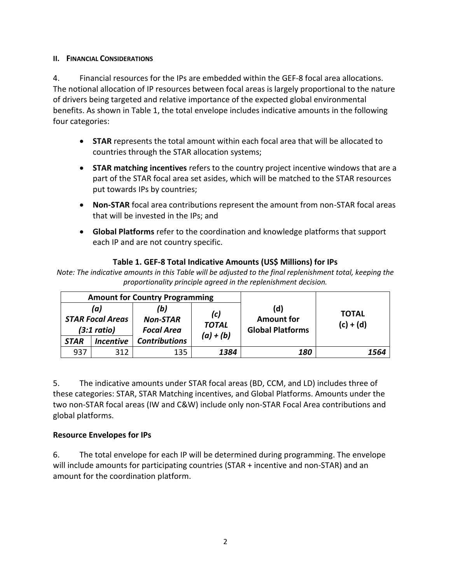### <span id="page-3-0"></span>**II. FINANCIAL CONSIDERATIONS**

4. Financial resources for the IPs are embedded within the GEF-8 focal area allocations. The notional allocation of IP resources between focal areas is largely proportional to the nature of drivers being targeted and relative importance of the expected global environmental benefits. As shown in Table 1, the total envelope includes indicative amounts in the following four categories:

- **STAR** represents the total amount within each focal area that will be allocated to countries through the STAR allocation systems;
- **STAR matching incentives** refers to the country project incentive windows that are a part of the STAR focal area set asides, which will be matched to the STAR resources put towards IPs by countries;
- **Non-STAR** focal area contributions represent the amount from non-STAR focal areas that will be invested in the IPs; and
- **Global Platforms** refer to the coordination and knowledge platforms that support each IP and are not country specific.

## **Table 1. GEF-8 Total Indicative Amounts (US\$ Millions) for IPs**

*Note: The indicative amounts in this Table will be adjusted to the final replenishment total, keeping the proportionality principle agreed in the replenishment decision.*

|                                               |                         | <b>Amount for Country Programming</b>       |                     |                                                     |                             |
|-----------------------------------------------|-------------------------|---------------------------------------------|---------------------|-----------------------------------------------------|-----------------------------|
| (a)<br><b>STAR Focal Areas</b><br>(3:1 ratio) |                         | (b)<br><b>Non-STAR</b><br><b>Focal Area</b> | (c)<br><b>TOTAL</b> | (d)<br><b>Amount for</b><br><b>Global Platforms</b> | <b>TOTAL</b><br>$(c) + (d)$ |
| <b>STAR</b>                                   | <i><b>Incentive</b></i> | <b>Contributions</b>                        | $(a) + (b)$         |                                                     |                             |
| 937                                           | 312                     | 135                                         | 1384                | 180                                                 | 1564                        |

5. The indicative amounts under STAR focal areas (BD, CCM, and LD) includes three of these categories: STAR, STAR Matching incentives, and Global Platforms. Amounts under the two non-STAR focal areas (IW and C&W) include only non-STAR Focal Area contributions and global platforms.

### <span id="page-3-1"></span>**Resource Envelopes for IPs**

6. The total envelope for each IP will be determined during programming. The envelope will include amounts for participating countries (STAR + incentive and non-STAR) and an amount for the coordination platform.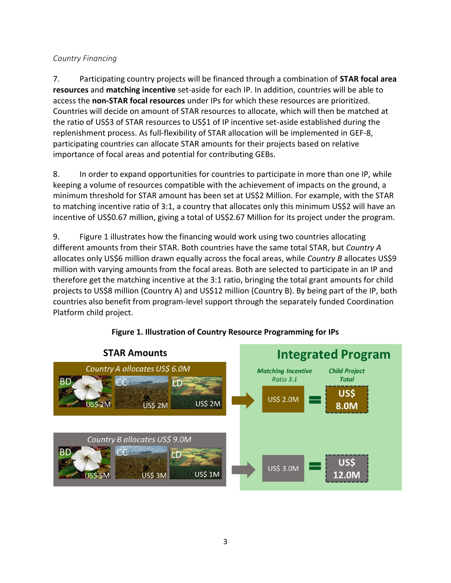# <span id="page-4-0"></span>*Country Financing*

7. Participating country projects will be financed through a combination of **STAR focal area resources** and **matching incentive** set-aside for each IP. In addition, countries will be able to access the **non-STAR focal resources** under IPs for which these resources are prioritized. Countries will decide on amount of STAR resources to allocate, which will then be matched at the ratio of US\$3 of STAR resources to US\$1 of IP incentive set-aside established during the replenishment process. As full-flexibility of STAR allocation will be implemented in GEF-8, participating countries can allocate STAR amounts for their projects based on relative importance of focal areas and potential for contributing GEBs.

8. In order to expand opportunities for countries to participate in more than one IP, while keeping a volume of resources compatible with the achievement of impacts on the ground, a minimum threshold for STAR amount has been set at US\$2 Million. For example, with the STAR to matching incentive ratio of 3:1, a country that allocates only this minimum US\$2 will have an incentive of US\$0.67 million, giving a total of US\$2.67 Million for its project under the program.

9. Figure 1 illustrates how the financing would work using two countries allocating different amounts from their STAR. Both countries have the same total STAR, but *Country A* allocates only US\$6 million drawn equally across the focal areas, while *Country B* allocates US\$9 million with varying amounts from the focal areas. Both are selected to participate in an IP and therefore get the matching incentive at the 3:1 ratio, bringing the total grant amounts for child projects to US\$8 million (Country A) and US\$12 million (Country B). By being part of the IP, both countries also benefit from program-level support through the separately funded Coordination Platform child project.



# **Figure 1. Illustration of Country Resource Programming for IPs**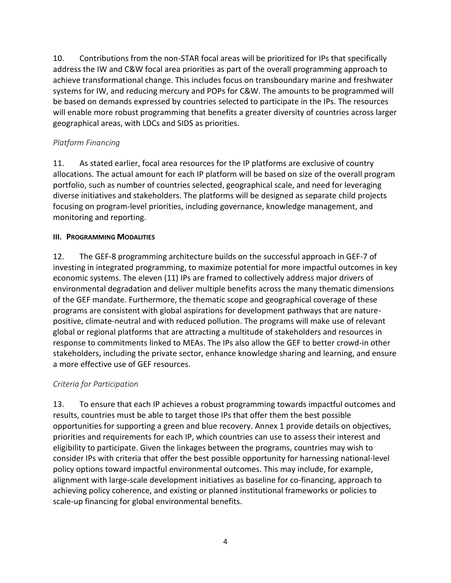10. Contributions from the non-STAR focal areas will be prioritized for IPs that specifically address the IW and C&W focal area priorities as part of the overall programming approach to achieve transformational change. This includes focus on transboundary marine and freshwater systems for IW, and reducing mercury and POPs for C&W. The amounts to be programmed will be based on demands expressed by countries selected to participate in the IPs. The resources will enable more robust programming that benefits a greater diversity of countries across larger geographical areas, with LDCs and SIDS as priorities.

# <span id="page-5-0"></span>*Platform Financing*

11. As stated earlier, focal area resources for the IP platforms are exclusive of country allocations. The actual amount for each IP platform will be based on size of the overall program portfolio, such as number of countries selected, geographical scale, and need for leveraging diverse initiatives and stakeholders. The platforms will be designed as separate child projects focusing on program-level priorities, including governance, knowledge management, and monitoring and reporting.

## <span id="page-5-1"></span>**III. PROGRAMMING MODALITIES**

12. The GEF-8 programming architecture builds on the successful approach in GEF-7 of investing in integrated programming, to maximize potential for more impactful outcomes in key economic systems. The eleven (11) IPs are framed to collectively address major drivers of environmental degradation and deliver multiple benefits across the many thematic dimensions of the GEF mandate. Furthermore, the thematic scope and geographical coverage of these programs are consistent with global aspirations for development pathways that are naturepositive, climate-neutral and with reduced pollution. The programs will make use of relevant global or regional platforms that are attracting a multitude of stakeholders and resources in response to commitments linked to MEAs. The IPs also allow the GEF to better crowd-in other stakeholders, including the private sector, enhance knowledge sharing and learning, and ensure a more effective use of GEF resources.

# <span id="page-5-2"></span>*Criteria for Participation*

13. To ensure that each IP achieves a robust programming towards impactful outcomes and results, countries must be able to target those IPs that offer them the best possible opportunities for supporting a green and blue recovery. Annex 1 provide details on objectives, priorities and requirements for each IP, which countries can use to assess their interest and eligibility to participate. Given the linkages between the programs, countries may wish to consider IPs with criteria that offer the best possible opportunity for harnessing national-level policy options toward impactful environmental outcomes. This may include, for example, alignment with large-scale development initiatives as baseline for co-financing, approach to achieving policy coherence, and existing or planned institutional frameworks or policies to scale-up financing for global environmental benefits.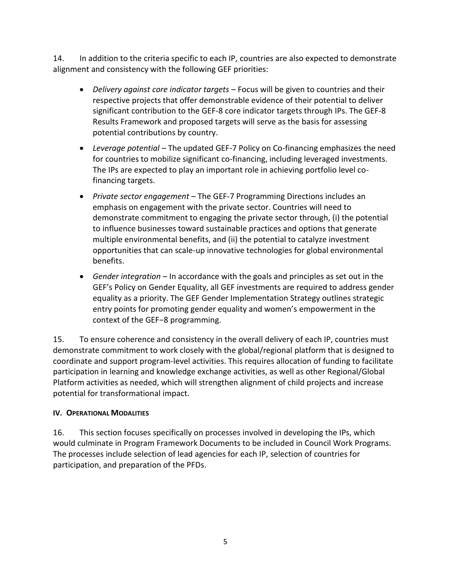14. In addition to the criteria specific to each IP, countries are also expected to demonstrate alignment and consistency with the following GEF priorities:

- *Delivery against core indicator targets* Focus will be given to countries and their respective projects that offer demonstrable evidence of their potential to deliver significant contribution to the GEF-8 core indicator targets through IPs. The GEF-8 Results Framework and proposed targets will serve as the basis for assessing potential contributions by country.
- *Leverage potential* The updated GEF-7 Policy on Co-financing emphasizes the need for countries to mobilize significant co-financing, including leveraged investments. The IPs are expected to play an important role in achieving portfolio level cofinancing targets.
- *Private sector engagement* The GEF-7 Programming Directions includes an emphasis on engagement with the private sector. Countries will need to demonstrate commitment to engaging the private sector through, (i) the potential to influence businesses toward sustainable practices and options that generate multiple environmental benefits, and (ii) the potential to catalyze investment opportunities that can scale-up innovative technologies for global environmental benefits.
- *Gender integration* In accordance with the goals and principles as set out in the GEF's Policy on Gender Equality, all GEF investments are required to address gender equality as a priority. The GEF Gender Implementation Strategy outlines strategic entry points for promoting gender equality and women's empowerment in the context of the GEF−8 programming.

15. To ensure coherence and consistency in the overall delivery of each IP, countries must demonstrate commitment to work closely with the global/regional platform that is designed to coordinate and support program-level activities. This requires allocation of funding to facilitate participation in learning and knowledge exchange activities, as well as other Regional/Global Platform activities as needed, which will strengthen alignment of child projects and increase potential for transformational impact.

### <span id="page-6-0"></span>**IV. OPERATIONAL MODALITIES**

<span id="page-6-1"></span>16. This section focuses specifically on processes involved in developing the IPs, which would culminate in Program Framework Documents to be included in Council Work Programs. The processes include selection of lead agencies for each IP, selection of countries for participation, and preparation of the PFDs.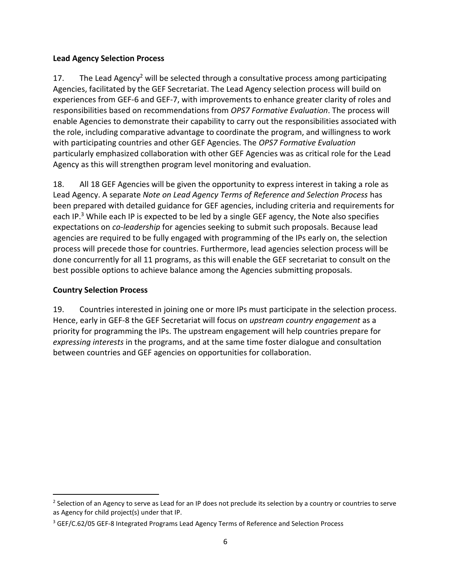### **Lead Agency Selection Process**

17. The Lead Agency<sup>2</sup> will be selected through a consultative process among participating Agencies, facilitated by the GEF Secretariat. The Lead Agency selection process will build on experiences from GEF-6 and GEF-7, with improvements to enhance greater clarity of roles and responsibilities based on recommendations from *OPS7 Formative Evaluation*. The process will enable Agencies to demonstrate their capability to carry out the responsibilities associated with the role, including comparative advantage to coordinate the program, and willingness to work with participating countries and other GEF Agencies. The *OPS7 Formative Evaluation* particularly emphasized collaboration with other GEF Agencies was as critical role for the Lead Agency as this will strengthen program level monitoring and evaluation.

18. All 18 GEF Agencies will be given the opportunity to express interest in taking a role as Lead Agency. A separate *Note on Lead Agency Terms of Reference and Selection Process* has been prepared with detailed guidance for GEF agencies, including criteria and requirements for each IP.<sup>3</sup> While each IP is expected to be led by a single GEF agency, the Note also specifies expectations on *co-leadership* for agencies seeking to submit such proposals. Because lead agencies are required to be fully engaged with programming of the IPs early on, the selection process will precede those for countries. Furthermore, lead agencies selection process will be done concurrently for all 11 programs, as this will enable the GEF secretariat to consult on the best possible options to achieve balance among the Agencies submitting proposals.

# <span id="page-7-0"></span>**Country Selection Process**

19. Countries interested in joining one or more IPs must participate in the selection process. Hence, early in GEF-8 the GEF Secretariat will focus on *upstream country engagement* as a priority for programming the IPs. The upstream engagement will help countries prepare for *expressing interests* in the programs, and at the same time foster dialogue and consultation between countries and GEF agencies on opportunities for collaboration.

<sup>&</sup>lt;sup>2</sup> Selection of an Agency to serve as Lead for an IP does not preclude its selection by a country or countries to serve as Agency for child project(s) under that IP.

<sup>&</sup>lt;sup>3</sup> GEF/C.62/05 GEF-8 Integrated Programs Lead Agency Terms of Reference and Selection Process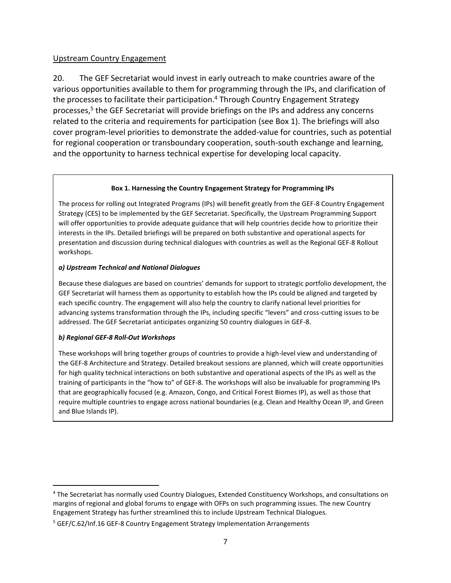### Upstream Country Engagement

20. The GEF Secretariat would invest in early outreach to make countries aware of the various opportunities available to them for programming through the IPs, and clarification of the processes to facilitate their participation.<sup>4</sup> Through Country Engagement Strategy processes, 5 the GEF Secretariat will provide briefings on the IPs and address any concerns related to the criteria and requirements for participation (see Box 1). The briefings will also cover program-level priorities to demonstrate the added-value for countries, such as potential for regional cooperation or transboundary cooperation, south-south exchange and learning, and the opportunity to harness technical expertise for developing local capacity.

#### **Box 1. Harnessing the Country Engagement Strategy for Programming IPs**

The process for rolling out Integrated Programs (IPs) will benefit greatly from the GEF-8 Country Engagement Strategy (CES) to be implemented by the GEF Secretariat. Specifically, the Upstream Programming Support will offer opportunities to provide adequate guidance that will help countries decide how to prioritize their interests in the IPs. Detailed briefings will be prepared on both substantive and operational aspects for presentation and discussion during technical dialogues with countries as well as the Regional GEF-8 Rollout workshops.

#### *a) Upstream Technical and National Dialogues*

Because these dialogues are based on countries' demands for support to strategic portfolio development, the GEF Secretariat will harness them as opportunity to establish how the IPs could be aligned and targeted by each specific country. The engagement will also help the country to clarify national level priorities for advancing systems transformation through the IPs, including specific "levers" and cross-cutting issues to be addressed. The GEF Secretariat anticipates organizing 50 country dialogues in GEF-8.

#### *b) Regional GEF-8 Roll-Out Workshops*

These workshops will bring together groups of countries to provide a high-level view and understanding of the GEF-8 Architecture and Strategy. Detailed breakout sessions are planned, which will create opportunities for high quality technical interactions on both substantive and operational aspects of the IPs as well as the training of participants in the "how to" of GEF-8. The workshops will also be invaluable for programming IPs that are geographically focused (e.g. Amazon, Congo, and Critical Forest Biomes IP), as well as those that require multiple countries to engage across national boundaries (e.g. Clean and Healthy Ocean IP, and Green and Blue Islands IP).

<sup>4</sup> The Secretariat has normally used Country Dialogues, Extended Constituency Workshops, and consultations on margins of regional and global forums to engage with OFPs on such programming issues. The new Country Engagement Strategy has further streamlined this to include Upstream Technical Dialogues.

<sup>&</sup>lt;sup>5</sup> GEF/C.62/Inf.16 GEF-8 Country Engagement Strategy Implementation Arrangements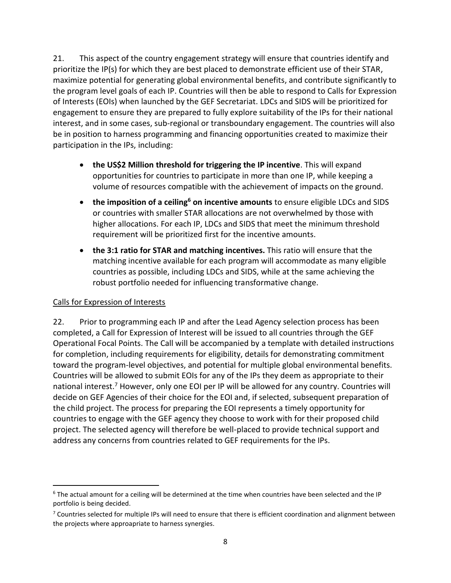21. This aspect of the country engagement strategy will ensure that countries identify and prioritize the IP(s) for which they are best placed to demonstrate efficient use of their STAR, maximize potential for generating global environmental benefits, and contribute significantly to the program level goals of each IP. Countries will then be able to respond to Calls for Expression of Interests (EOIs) when launched by the GEF Secretariat. LDCs and SIDS will be prioritized for engagement to ensure they are prepared to fully explore suitability of the IPs for their national interest, and in some cases, sub-regional or transboundary engagement. The countries will also be in position to harness programming and financing opportunities created to maximize their participation in the IPs, including:

- **the US\$2 Million threshold for triggering the IP incentive**. This will expand opportunities for countries to participate in more than one IP, while keeping a volume of resources compatible with the achievement of impacts on the ground.
- **the imposition of a ceiling<sup>6</sup> on incentive amounts** to ensure eligible LDCs and SIDS or countries with smaller STAR allocations are not overwhelmed by those with higher allocations. For each IP, LDCs and SIDS that meet the minimum threshold requirement will be prioritized first for the incentive amounts.
- **the 3:1 ratio for STAR and matching incentives.** This ratio will ensure that the matching incentive available for each program will accommodate as many eligible countries as possible, including LDCs and SIDS, while at the same achieving the robust portfolio needed for influencing transformative change.

# Calls for Expression of Interests

22. Prior to programming each IP and after the Lead Agency selection process has been completed, a Call for Expression of Interest will be issued to all countries through the GEF Operational Focal Points. The Call will be accompanied by a template with detailed instructions for completion, including requirements for eligibility, details for demonstrating commitment toward the program-level objectives, and potential for multiple global environmental benefits. Countries will be allowed to submit EOIs for any of the IPs they deem as appropriate to their national interest.<sup>7</sup> However, only one EOI per IP will be allowed for any country. Countries will decide on GEF Agencies of their choice for the EOI and, if selected, subsequent preparation of the child project. The process for preparing the EOI represents a timely opportunity for countries to engage with the GEF agency they choose to work with for their proposed child project. The selected agency will therefore be well-placed to provide technical support and address any concerns from countries related to GEF requirements for the IPs.

 $6$  The actual amount for a ceiling will be determined at the time when countries have been selected and the IP portfolio is being decided.

 $7$  Countries selected for multiple IPs will need to ensure that there is efficient coordination and alignment between the projects where approapriate to harness synergies.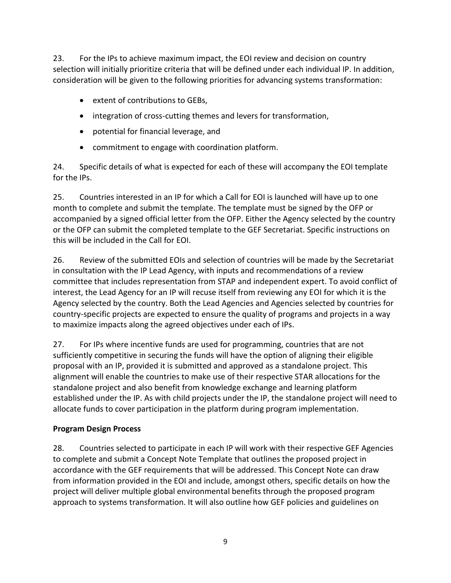23. For the IPs to achieve maximum impact, the EOI review and decision on country selection will initially prioritize criteria that will be defined under each individual IP. In addition, consideration will be given to the following priorities for advancing systems transformation:

- extent of contributions to GEBs,
- integration of cross-cutting themes and levers for transformation,
- potential for financial leverage, and
- commitment to engage with coordination platform.

24. Specific details of what is expected for each of these will accompany the EOI template for the IPs.

25. Countries interested in an IP for which a Call for EOI is launched will have up to one month to complete and submit the template. The template must be signed by the OFP or accompanied by a signed official letter from the OFP. Either the Agency selected by the country or the OFP can submit the completed template to the GEF Secretariat. Specific instructions on this will be included in the Call for EOI.

26. Review of the submitted EOIs and selection of countries will be made by the Secretariat in consultation with the IP Lead Agency, with inputs and recommendations of a review committee that includes representation from STAP and independent expert. To avoid conflict of interest, the Lead Agency for an IP will recuse itself from reviewing any EOI for which it is the Agency selected by the country. Both the Lead Agencies and Agencies selected by countries for country-specific projects are expected to ensure the quality of programs and projects in a way to maximize impacts along the agreed objectives under each of IPs.

27. For IPs where incentive funds are used for programming, countries that are not sufficiently competitive in securing the funds will have the option of aligning their eligible proposal with an IP, provided it is submitted and approved as a standalone project. This alignment will enable the countries to make use of their respective STAR allocations for the standalone project and also benefit from knowledge exchange and learning platform established under the IP. As with child projects under the IP, the standalone project will need to allocate funds to cover participation in the platform during program implementation.

# <span id="page-10-0"></span>**Program Design Process**

28. Countries selected to participate in each IP will work with their respective GEF Agencies to complete and submit a Concept Note Template that outlines the proposed project in accordance with the GEF requirements that will be addressed. This Concept Note can draw from information provided in the EOI and include, amongst others, specific details on how the project will deliver multiple global environmental benefits through the proposed program approach to systems transformation. It will also outline how GEF policies and guidelines on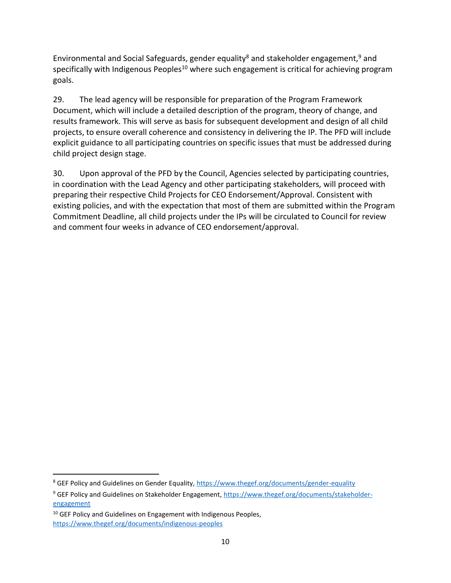Environmental and Social Safeguards, gender equality<sup>8</sup> and stakeholder engagement,<sup>9</sup> and specifically with Indigenous Peoples<sup>10</sup> where such engagement is critical for achieving program goals.

29. The lead agency will be responsible for preparation of the Program Framework Document, which will include a detailed description of the program, theory of change, and results framework. This will serve as basis for subsequent development and design of all child projects, to ensure overall coherence and consistency in delivering the IP. The PFD will include explicit guidance to all participating countries on specific issues that must be addressed during child project design stage.

30. Upon approval of the PFD by the Council, Agencies selected by participating countries, in coordination with the Lead Agency and other participating stakeholders, will proceed with preparing their respective Child Projects for CEO Endorsement/Approval. Consistent with existing policies, and with the expectation that most of them are submitted within the Program Commitment Deadline, all child projects under the IPs will be circulated to Council for review and comment four weeks in advance of CEO endorsement/approval.

<sup>&</sup>lt;sup>8</sup> GEF Policy and Guidelines on Gender Equality,<https://www.thegef.org/documents/gender-equality>

<sup>&</sup>lt;sup>9</sup> GEF Policy and Guidelines on Stakeholder Engagement, [https://www.thegef.org/documents/stakeholder](https://www.thegef.org/documents/stakeholder-engagement)[engagement](https://www.thegef.org/documents/stakeholder-engagement)

 $10$  GEF Policy and Guidelines on Engagement with Indigenous Peoples, <https://www.thegef.org/documents/indigenous-peoples>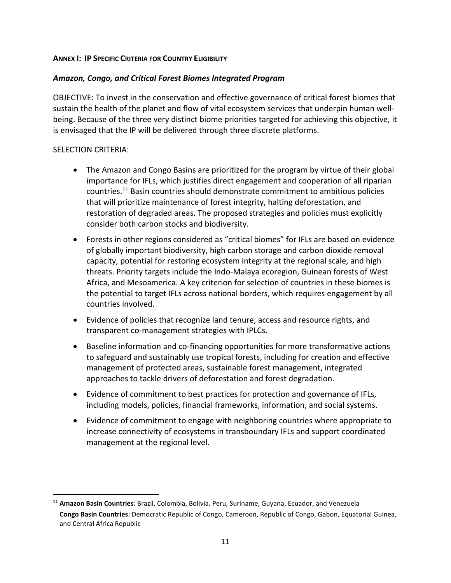#### <span id="page-12-0"></span>**ANNEX I: IP SPECIFIC CRITERIA FOR COUNTRY ELIGIBILITY**

#### *Amazon, Congo, and Critical Forest Biomes Integrated Program*

OBJECTIVE: To invest in the conservation and effective governance of critical forest biomes that sustain the health of the planet and flow of vital ecosystem services that underpin human wellbeing. Because of the three very distinct biome priorities targeted for achieving this objective, it is envisaged that the IP will be delivered through three discrete platforms.

#### SELECTION CRITERIA:

- The Amazon and Congo Basins are prioritized for the program by virtue of their global importance for IFLs, which justifies direct engagement and cooperation of all riparian countries.<sup>11</sup> Basin countries should demonstrate commitment to ambitious policies that will prioritize maintenance of forest integrity, halting deforestation, and restoration of degraded areas. The proposed strategies and policies must explicitly consider both carbon stocks and biodiversity.
- Forests in other regions considered as "critical biomes" for IFLs are based on evidence of globally important biodiversity, high carbon storage and carbon dioxide removal capacity, potential for restoring ecosystem integrity at the regional scale, and high threats. Priority targets include the Indo-Malaya ecoregion, Guinean forests of West Africa, and Mesoamerica. A key criterion for selection of countries in these biomes is the potential to target IFLs across national borders, which requires engagement by all countries involved.
- Evidence of policies that recognize land tenure, access and resource rights, and transparent co-management strategies with IPLCs.
- Baseline information and co-financing opportunities for more transformative actions to safeguard and sustainably use tropical forests, including for creation and effective management of protected areas, sustainable forest management, integrated approaches to tackle drivers of deforestation and forest degradation.
- Evidence of commitment to best practices for protection and governance of IFLs, including models, policies, financial frameworks, information, and social systems.
- Evidence of commitment to engage with neighboring countries where appropriate to increase connectivity of ecosystems in transboundary IFLs and support coordinated management at the regional level.

<sup>11</sup> **Amazon Basin Countries**: Brazil, Colombia, Bolivia, Peru, Suriname, Guyana, Ecuador, and Venezuela **Congo Basin Countries**: Democratic Republic of Congo, Cameroon, Republic of Congo, Gabon, Equatorial Guinea, and Central Africa Republic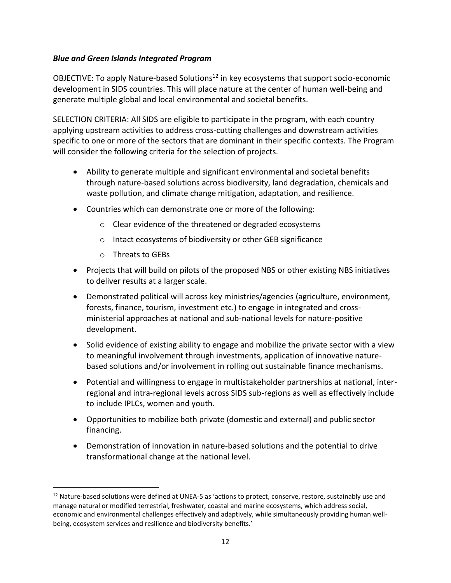### *Blue and Green Islands Integrated Program*

OBJECTIVE: To apply Nature-based Solutions<sup>12</sup> in key ecosystems that support socio-economic development in SIDS countries. This will place nature at the center of human well-being and generate multiple global and local environmental and societal benefits.

SELECTION CRITERIA: All SIDS are eligible to participate in the program, with each country applying upstream activities to address cross-cutting challenges and downstream activities specific to one or more of the sectors that are dominant in their specific contexts. The Program will consider the following criteria for the selection of projects.

- Ability to generate multiple and significant environmental and societal benefits through nature-based solutions across biodiversity, land degradation, chemicals and waste pollution, and climate change mitigation, adaptation, and resilience.
- Countries which can demonstrate one or more of the following:
	- o Clear evidence of the threatened or degraded ecosystems
	- o Intact ecosystems of biodiversity or other GEB significance
	- o Threats to GEBs
- Projects that will build on pilots of the proposed NBS or other existing NBS initiatives to deliver results at a larger scale.
- Demonstrated political will across key ministries/agencies (agriculture, environment, forests, finance, tourism, investment etc.) to engage in integrated and crossministerial approaches at national and sub-national levels for nature-positive development.
- Solid evidence of existing ability to engage and mobilize the private sector with a view to meaningful involvement through investments, application of innovative naturebased solutions and/or involvement in rolling out sustainable finance mechanisms.
- Potential and willingness to engage in multistakeholder partnerships at national, interregional and intra-regional levels across SIDS sub-regions as well as effectively include to include IPLCs, women and youth.
- Opportunities to mobilize both private (domestic and external) and public sector financing.
- Demonstration of innovation in nature-based solutions and the potential to drive transformational change at the national level.

<sup>&</sup>lt;sup>12</sup> Nature-based solutions were defined at UNEA-5 as 'actions to protect, conserve, restore, sustainably use and manage natural or modified terrestrial, freshwater, coastal and marine ecosystems, which address social, economic and environmental challenges effectively and adaptively, while simultaneously providing human wellbeing, ecosystem services and resilience and biodiversity benefits.'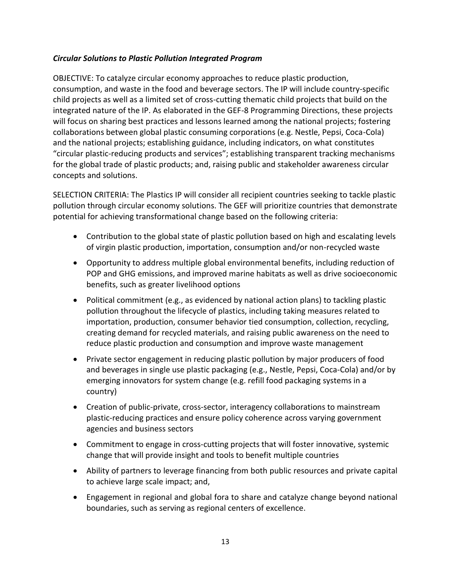### *Circular Solutions to Plastic Pollution Integrated Program*

OBJECTIVE: To catalyze circular economy approaches to reduce plastic production, consumption, and waste in the food and beverage sectors. The IP will include country-specific child projects as well as a limited set of cross-cutting thematic child projects that build on the integrated nature of the IP. As elaborated in the GEF-8 Programming Directions, these projects will focus on sharing best practices and lessons learned among the national projects; fostering collaborations between global plastic consuming corporations (e.g. Nestle, Pepsi, Coca-Cola) and the national projects; establishing guidance, including indicators, on what constitutes "circular plastic-reducing products and services"; establishing transparent tracking mechanisms for the global trade of plastic products; and, raising public and stakeholder awareness circular concepts and solutions.

SELECTION CRITERIA: The Plastics IP will consider all recipient countries seeking to tackle plastic pollution through circular economy solutions. The GEF will prioritize countries that demonstrate potential for achieving transformational change based on the following criteria:

- Contribution to the global state of plastic pollution based on high and escalating levels of virgin plastic production, importation, consumption and/or non-recycled waste
- Opportunity to address multiple global environmental benefits, including reduction of POP and GHG emissions, and improved marine habitats as well as drive socioeconomic benefits, such as greater livelihood options
- Political commitment (e.g., as evidenced by national action plans) to tackling plastic pollution throughout the lifecycle of plastics, including taking measures related to importation, production, consumer behavior tied consumption, collection, recycling, creating demand for recycled materials, and raising public awareness on the need to reduce plastic production and consumption and improve waste management
- Private sector engagement in reducing plastic pollution by major producers of food and beverages in single use plastic packaging (e.g., Nestle, Pepsi, Coca-Cola) and/or by emerging innovators for system change (e.g. refill food packaging systems in a country)
- Creation of public-private, cross-sector, interagency collaborations to mainstream plastic-reducing practices and ensure policy coherence across varying government agencies and business sectors
- Commitment to engage in cross-cutting projects that will foster innovative, systemic change that will provide insight and tools to benefit multiple countries
- Ability of partners to leverage financing from both public resources and private capital to achieve large scale impact; and,
- Engagement in regional and global fora to share and catalyze change beyond national boundaries, such as serving as regional centers of excellence.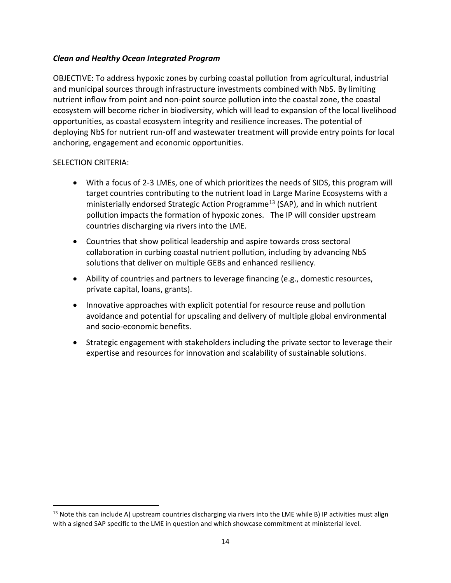### *Clean and Healthy Ocean Integrated Program*

OBJECTIVE: To address hypoxic zones by curbing coastal pollution from agricultural, industrial and municipal sources through infrastructure investments combined with NbS. By limiting nutrient inflow from point and non-point source pollution into the coastal zone, the coastal ecosystem will become richer in biodiversity, which will lead to expansion of the local livelihood opportunities, as coastal ecosystem integrity and resilience increases. The potential of deploying NbS for nutrient run-off and wastewater treatment will provide entry points for local anchoring, engagement and economic opportunities.

#### SELECTION CRITERIA:

- With a focus of 2-3 LMEs, one of which prioritizes the needs of SIDS, this program will target countries contributing to the nutrient load in Large Marine Ecosystems with a ministerially endorsed Strategic Action Programme<sup>13</sup> (SAP), and in which nutrient pollution impacts the formation of hypoxic zones. The IP will consider upstream countries discharging via rivers into the LME.
- Countries that show political leadership and aspire towards cross sectoral collaboration in curbing coastal nutrient pollution, including by advancing NbS solutions that deliver on multiple GEBs and enhanced resiliency.
- Ability of countries and partners to leverage financing (e.g., domestic resources, private capital, loans, grants).
- Innovative approaches with explicit potential for resource reuse and pollution avoidance and potential for upscaling and delivery of multiple global environmental and socio-economic benefits.
- Strategic engagement with stakeholders including the private sector to leverage their expertise and resources for innovation and scalability of sustainable solutions.

 $13$  Note this can include A) upstream countries discharging via rivers into the LME while B) IP activities must align with a signed SAP specific to the LME in question and which showcase commitment at ministerial level.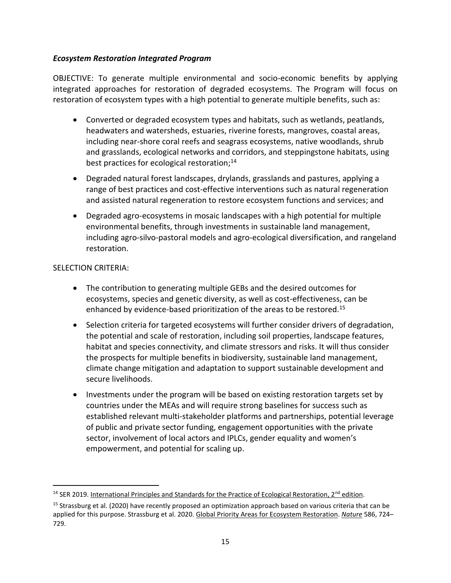### *Ecosystem Restoration Integrated Program*

OBJECTIVE: To generate multiple environmental and socio-economic benefits by applying integrated approaches for restoration of degraded ecosystems. The Program will focus on restoration of ecosystem types with a high potential to generate multiple benefits, such as:

- Converted or degraded ecosystem types and habitats, such as wetlands, peatlands, headwaters and watersheds, estuaries, riverine forests, mangroves, coastal areas, including near-shore coral reefs and seagrass ecosystems, native woodlands, shrub and grasslands, ecological networks and corridors, and steppingstone habitats, using best practices for ecological restoration;<sup>14</sup>
- Degraded natural forest landscapes, drylands, grasslands and pastures, applying a range of best practices and cost-effective interventions such as natural regeneration and assisted natural regeneration to restore ecosystem functions and services; and
- Degraded agro-ecosystems in mosaic landscapes with a high potential for multiple environmental benefits, through investments in sustainable land management, including agro-silvo-pastoral models and agro-ecological diversification, and rangeland restoration.

### SELECTION CRITERIA:

- The contribution to generating multiple GEBs and the desired outcomes for ecosystems, species and genetic diversity, as well as cost-effectiveness, can be enhanced by evidence-based prioritization of the areas to be restored.<sup>15</sup>
- Selection criteria for targeted ecosystems will further consider drivers of degradation, the potential and scale of restoration, including soil properties, landscape features, habitat and species connectivity, and climate stressors and risks. It will thus consider the prospects for multiple benefits in biodiversity, sustainable land management, climate change mitigation and adaptation to support sustainable development and secure livelihoods.
- Investments under the program will be based on existing restoration targets set by countries under the MEAs and will require strong baselines for success such as established relevant multi-stakeholder platforms and partnerships, potential leverage of public and private sector funding, engagement opportunities with the private sector, involvement of local actors and IPLCs, gender equality and women's empowerment, and potential for scaling up.

<sup>&</sup>lt;sup>14</sup> SER 2019. [International Principles and Standards for the Practice of Ecological Restoration, 2](https://www.ser.org/page/SERStandards/International-Standards-for-the-Practice-of-Ecological-Restoration.htm)<sup>nd</sup> edition.

<sup>&</sup>lt;sup>15</sup> Strassburg et al. (2020) have recently proposed an optimization approach based on various criteria that can be applied for this purpose. Strassburg et al. 2020. [Global Priority Areas for Ecosystem Restoration.](https://doi.org/10.1038/s41586-020-2784-9) *[Nature](https://www.nature.com/)* 586, 724– 729.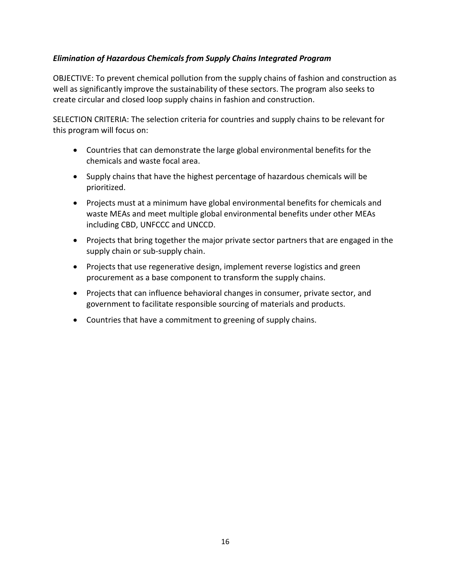## *Elimination of Hazardous Chemicals from Supply Chains Integrated Program*

OBJECTIVE: To prevent chemical pollution from the supply chains of fashion and construction as well as significantly improve the sustainability of these sectors. The program also seeks to create circular and closed loop supply chains in fashion and construction.

SELECTION CRITERIA: The selection criteria for countries and supply chains to be relevant for this program will focus on:

- Countries that can demonstrate the large global environmental benefits for the chemicals and waste focal area.
- Supply chains that have the highest percentage of hazardous chemicals will be prioritized.
- Projects must at a minimum have global environmental benefits for chemicals and waste MEAs and meet multiple global environmental benefits under other MEAs including CBD, UNFCCC and UNCCD.
- Projects that bring together the major private sector partners that are engaged in the supply chain or sub-supply chain.
- Projects that use regenerative design, implement reverse logistics and green procurement as a base component to transform the supply chains.
- Projects that can influence behavioral changes in consumer, private sector, and government to facilitate responsible sourcing of materials and products.
- Countries that have a commitment to greening of supply chains.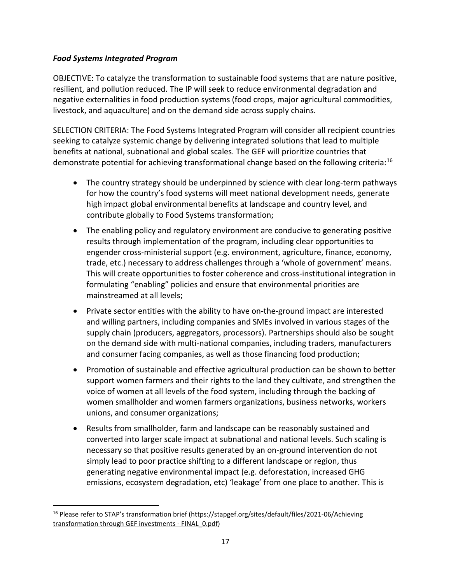### *Food Systems Integrated Program*

OBJECTIVE: To catalyze the transformation to sustainable food systems that are nature positive, resilient, and pollution reduced. The IP will seek to reduce environmental degradation and negative externalities in food production systems (food crops, major agricultural commodities, livestock, and aquaculture) and on the demand side across supply chains.

SELECTION CRITERIA: The Food Systems Integrated Program will consider all recipient countries seeking to catalyze systemic change by delivering integrated solutions that lead to multiple benefits at national, subnational and global scales. The GEF will prioritize countries that demonstrate potential for achieving transformational change based on the following criteria:<sup>16</sup>

- The country strategy should be underpinned by science with clear long-term pathways for how the country's food systems will meet national development needs, generate high impact global environmental benefits at landscape and country level, and contribute globally to Food Systems transformation;
- The enabling policy and regulatory environment are conducive to generating positive results through implementation of the program, including clear opportunities to engender cross-ministerial support (e.g. environment, agriculture, finance, economy, trade, etc.) necessary to address challenges through a 'whole of government' means. This will create opportunities to foster coherence and cross-institutional integration in formulating "enabling" policies and ensure that environmental priorities are mainstreamed at all levels;
- Private sector entities with the ability to have on-the-ground impact are interested and willing partners, including companies and SMEs involved in various stages of the supply chain (producers, aggregators, processors). Partnerships should also be sought on the demand side with multi-national companies, including traders, manufacturers and consumer facing companies, as well as those financing food production;
- Promotion of sustainable and effective agricultural production can be shown to better support women farmers and their rights to the land they cultivate, and strengthen the voice of women at all levels of the food system, including through the backing of women smallholder and women farmers organizations, business networks, workers unions, and consumer organizations;
- Results from smallholder, farm and landscape can be reasonably sustained and converted into larger scale impact at subnational and national levels. Such scaling is necessary so that positive results generated by an on-ground intervention do not simply lead to poor practice shifting to a different landscape or region, thus generating negative environmental impact (e.g. deforestation, increased GHG emissions, ecosystem degradation, etc) 'leakage' from one place to another. This is

<sup>&</sup>lt;sup>16</sup> Please refer to STAP's transformation brief (https://stapgef.org/sites/default/files/2021-06/Achieving [transformation through GEF investments -](https://stapgef.org/sites/default/files/2021-06/Achieving%20transformation%20through%20GEF%20investments%20-%20FINAL_0.pdf) FINAL\_0.pdf)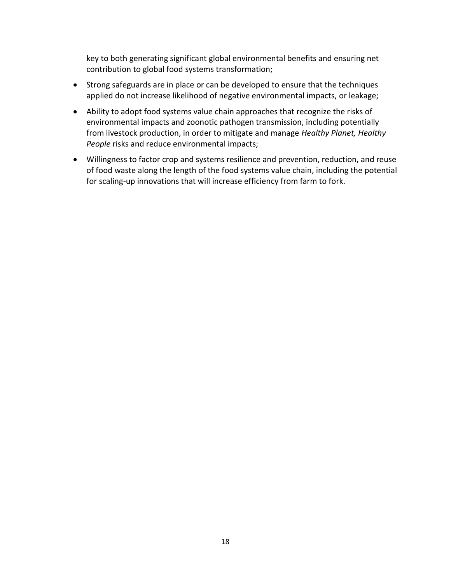key to both generating significant global environmental benefits and ensuring net contribution to global food systems transformation;

- Strong safeguards are in place or can be developed to ensure that the techniques applied do not increase likelihood of negative environmental impacts, or leakage;
- Ability to adopt food systems value chain approaches that recognize the risks of environmental impacts and zoonotic pathogen transmission, including potentially from livestock production, in order to mitigate and manage *Healthy Planet, Healthy People* risks and reduce environmental impacts;
- Willingness to factor crop and systems resilience and prevention, reduction, and reuse of food waste along the length of the food systems value chain, including the potential for scaling-up innovations that will increase efficiency from farm to fork.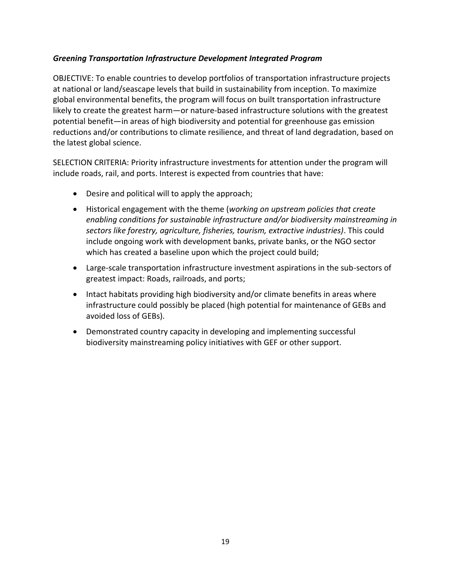### *Greening Transportation Infrastructure Development Integrated Program*

OBJECTIVE: To enable countries to develop portfolios of transportation infrastructure projects at national or land/seascape levels that build in sustainability from inception. To maximize global environmental benefits, the program will focus on built transportation infrastructure likely to create the greatest harm—or nature-based infrastructure solutions with the greatest potential benefit—in areas of high biodiversity and potential for greenhouse gas emission reductions and/or contributions to climate resilience, and threat of land degradation, based on the latest global science.

SELECTION CRITERIA: Priority infrastructure investments for attention under the program will include roads, rail, and ports. Interest is expected from countries that have:

- Desire and political will to apply the approach;
- Historical engagement with the theme (*working on upstream policies that create enabling conditions for sustainable infrastructure and/or biodiversity mainstreaming in sectors like forestry, agriculture, fisheries, tourism, extractive industries)*. This could include ongoing work with development banks, private banks, or the NGO sector which has created a baseline upon which the project could build;
- Large-scale transportation infrastructure investment aspirations in the sub-sectors of greatest impact: Roads, railroads, and ports;
- Intact habitats providing high biodiversity and/or climate benefits in areas where infrastructure could possibly be placed (high potential for maintenance of GEBs and avoided loss of GEBs).
- Demonstrated country capacity in developing and implementing successful biodiversity mainstreaming policy initiatives with GEF or other support.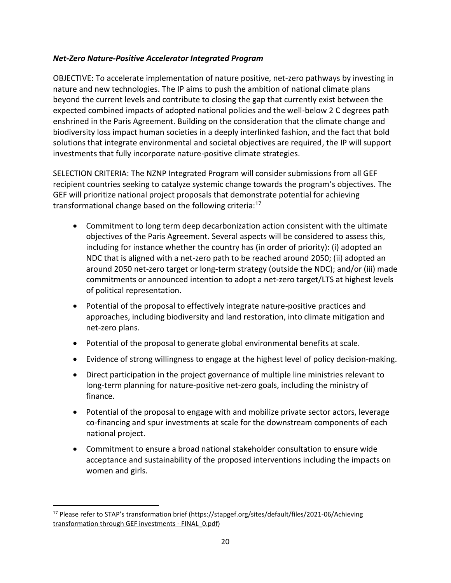### *Net-Zero Nature-Positive Accelerator Integrated Program*

OBJECTIVE: To accelerate implementation of nature positive, net-zero pathways by investing in nature and new technologies. The IP aims to push the ambition of national climate plans beyond the current levels and contribute to closing the gap that currently exist between the expected combined impacts of adopted national policies and the well-below 2 C degrees path enshrined in the Paris Agreement. Building on the consideration that the climate change and biodiversity loss impact human societies in a deeply interlinked fashion, and the fact that bold solutions that integrate environmental and societal objectives are required, the IP will support investments that fully incorporate nature-positive climate strategies.

SELECTION CRITERIA: The NZNP Integrated Program will consider submissions from all GEF recipient countries seeking to catalyze systemic change towards the program's objectives. The GEF will prioritize national project proposals that demonstrate potential for achieving transformational change based on the following criteria:<sup>17</sup>

- Commitment to long term deep decarbonization action consistent with the ultimate objectives of the Paris Agreement. Several aspects will be considered to assess this, including for instance whether the country has (in order of priority): (i) adopted an NDC that is aligned with a net-zero path to be reached around 2050; (ii) adopted an around 2050 net-zero target or long-term strategy (outside the NDC); and/or (iii) made commitments or announced intention to adopt a net-zero target/LTS at highest levels of political representation.
- Potential of the proposal to effectively integrate nature-positive practices and approaches, including biodiversity and land restoration, into climate mitigation and net-zero plans.
- Potential of the proposal to generate global environmental benefits at scale.
- Evidence of strong willingness to engage at the highest level of policy decision-making.
- Direct participation in the project governance of multiple line ministries relevant to long-term planning for nature-positive net-zero goals, including the ministry of finance.
- Potential of the proposal to engage with and mobilize private sector actors, leverage co-financing and spur investments at scale for the downstream components of each national project.
- Commitment to ensure a broad national stakeholder consultation to ensure wide acceptance and sustainability of the proposed interventions including the impacts on women and girls.

<sup>&</sup>lt;sup>17</sup> Please refer to STAP's transformation brief (https://stapgef.org/sites/default/files/2021-06/Achieving [transformation through GEF investments -](https://stapgef.org/sites/default/files/2021-06/Achieving%20transformation%20through%20GEF%20investments%20-%20FINAL_0.pdf) FINAL\_0.pdf)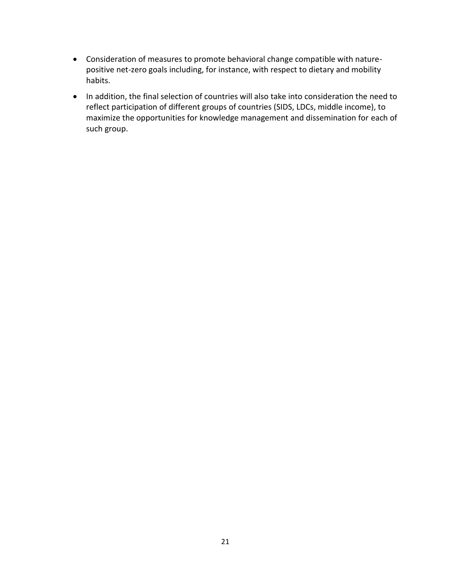- Consideration of measures to promote behavioral change compatible with naturepositive net-zero goals including, for instance, with respect to dietary and mobility habits.
- In addition, the final selection of countries will also take into consideration the need to reflect participation of different groups of countries (SIDS, LDCs, middle income), to maximize the opportunities for knowledge management and dissemination for each of such group.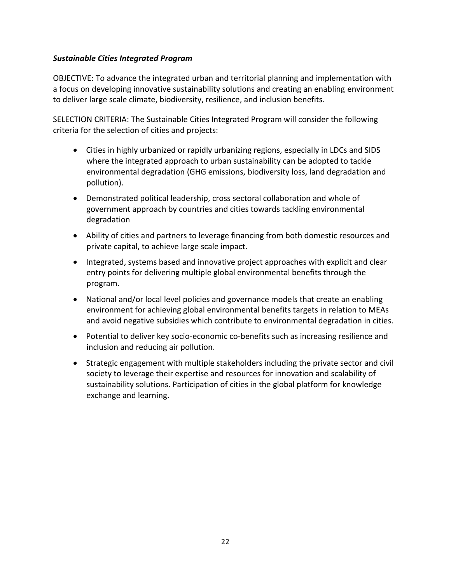### *Sustainable Cities Integrated Program*

OBJECTIVE: To advance the integrated urban and territorial planning and implementation with a focus on developing innovative sustainability solutions and creating an enabling environment to deliver large scale climate, biodiversity, resilience, and inclusion benefits.

SELECTION CRITERIA: The Sustainable Cities Integrated Program will consider the following criteria for the selection of cities and projects:

- Cities in highly urbanized or rapidly urbanizing regions, especially in LDCs and SIDS where the integrated approach to urban sustainability can be adopted to tackle environmental degradation (GHG emissions, biodiversity loss, land degradation and pollution).
- Demonstrated political leadership, cross sectoral collaboration and whole of government approach by countries and cities towards tackling environmental degradation
- Ability of cities and partners to leverage financing from both domestic resources and private capital, to achieve large scale impact.
- Integrated, systems based and innovative project approaches with explicit and clear entry points for delivering multiple global environmental benefits through the program.
- National and/or local level policies and governance models that create an enabling environment for achieving global environmental benefits targets in relation to MEAs and avoid negative subsidies which contribute to environmental degradation in cities.
- Potential to deliver key socio-economic co-benefits such as increasing resilience and inclusion and reducing air pollution.
- Strategic engagement with multiple stakeholders including the private sector and civil society to leverage their expertise and resources for innovation and scalability of sustainability solutions. Participation of cities in the global platform for knowledge exchange and learning.